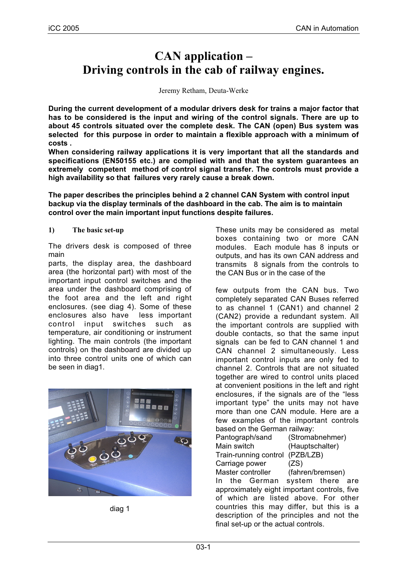# **CAN application – Driving controls in the cab of railway engines.**

Jeremy Retham, Deuta-Werke

**During the current development of a modular drivers desk for trains a major factor that has to be considered is the input and wiring of the control signals. There are up to about 45 controls situated over the complete desk. The CAN (open) Bus system was selected for this purpose in order to maintain a flexible approach with a minimum of costs .**

**When considering railway applications it is very important that all the standards and specifications (EN50155 etc.) are complied with and that the system guarantees an extremely competent method of control signal transfer. The controls must provide a high availability so that failures very rarely cause a break down.**

**The paper describes the principles behind a 2 channel CAN System with control input backup via the display terminals of the dashboard in the cab. The aim is to maintain control over the main important input functions despite failures.**

#### **1) The basic set-up**

The drivers desk is composed of three main

parts, the display area, the dashboard area (the horizontal part) with most of the important input control switches and the area under the dashboard comprising of the foot area and the left and right enclosures. (see diag 4). Some of these enclosures also have less important control input switches such as temperature, air conditioning or instrument lighting. The main controls (the important controls) on the dashboard are divided up into three control units one of which can be seen in diag1.



diag 1

These units may be considered as metal boxes containing two or more CAN modules. Each module has 8 inputs or outputs, and has its own CAN address and transmits 8 signals from the controls to the CAN Bus or in the case of the

few outputs from the CAN bus. Two completely separated CAN Buses referred to as channel 1 (CAN1) and channel 2 (CAN2) provide a redundant system. All the important controls are supplied with double contacts, so that the same input signals can be fed to CAN channel 1 and CAN channel 2 simultaneously. Less important control inputs are only fed to channel 2. Controls that are not situated together are wired to control units placed at convenient positions in the left and right enclosures, if the signals are of the "less important type" the units may not have more than one CAN module. Here are a few examples of the important controls based on the German railway:

Pantograph/sand (Stromabnehmer) Main switch (Hauptschalter) Train-running control (PZB/LZB) Carriage power (ZS)

Master controller (fahren/bremsen) In the German system there are approximately eight important controls, five of which are listed above. For other countries this may differ, but this is a description of the principles and not the final set-up or the actual controls.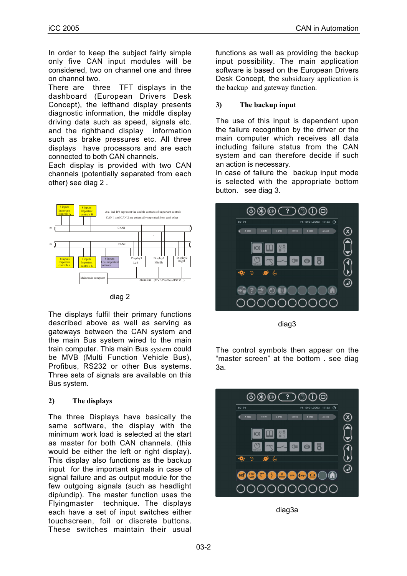In order to keep the subject fairly simple only five CAN input modules will be considered, two on channel one and three on channel two.

There are three TFT displays in the dashboard (European Drivers Desk Concept), the lefthand display presents diagnostic information, the middle display driving data such as speed, signals etc. and the righthand display information such as brake pressures etc. All three displays have processors and are each connected to both CAN channels.

Each display is provided with two CAN channels (potentially separated from each other) see diag 2 .



diag 2

The displays fulfil their primary functions described above as well as serving as gateways between the CAN system and the main Bus system wired to the main train computer. This main Bus system could be MVB (Multi Function Vehicle Bus), Profibus, RS232 or other Bus systems. Three sets of signals are available on this Bus system.

## **2) The displays**

The three Displays have basically the same software, the display with the minimum work load is selected at the start as master for both CAN channels. (this would be either the left or right display). This display also functions as the backup input for the important signals in case of signal failure and as output module for the few outgoing signals (such as headlight dip/undip). The master function uses the Flyingmaster technique. The displays each have a set of input switches either touchscreen, foil or discrete buttons. These switches maintain their usual

functions as well as providing the backup input possibility. The main application software is based on the European Drivers Desk Concept, the subsiduary application is the backup and gateway function.

## **3) The backup input**

The use of this input is dependent upon the failure recognition by the driver or the main computer which receives all data including failure status from the CAN system and can therefore decide if such an action is necessary.

In case of failure the backup input mode is selected with the appropriate bottom button. see diag 3.



diag3

The control symbols then appear on the "master screen" at the bottom . see diag 3a.



diag3a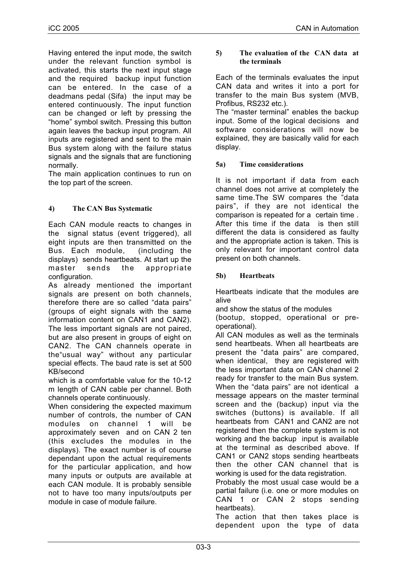Having entered the input mode, the switch under the relevant function symbol is activated, this starts the next input stage and the required backup input function can be entered. In the case of a deadmans pedal (Sifa) the input may be entered continuously. The input function can be changed or left by pressing the "home" symbol switch. Pressing this button again leaves the backup input program. All inputs are registered and sent to the main Bus system along with the failure status signals and the signals that are functioning normally.

The main application continues to run on the top part of the screen.

## **4) The CAN Bus Systematic**

Each CAN module reacts to changes in the signal status (event triggered), all eight inputs are then transmitted on the Bus. Each module, (including the displays) sends heartbeats. At start up the master sends the appropriate configuration.

As already mentioned the important signals are present on both channels, therefore there are so called "data pairs" (groups of eight signals with the same information content on CAN1 and CAN2). The less important signals are not paired, but are also present in groups of eight on CAN2. The CAN channels operate in the"usual way" without any particular special effects. The baud rate is set at 500 KB/second

which is a comfortable value for the 10-12 m length of CAN cable per channel. Both channels operate continuously.

When considering the expected maximum number of controls, the number of CAN modules on channel 1 will be approximately seven and on CAN 2 ten (this excludes the modules in the displays). The exact number is of course dependant upon the actual requirements for the particular application, and how many inputs or outputs are available at each CAN module. It is probably sensible not to have too many inputs/outputs per module in case of module failure.

#### **5) The evaluation of the CAN data at the terminals**

Each of the terminals evaluates the input CAN data and writes it into a port for transfer to the main Bus system (MVB, Profibus, RS232 etc.).

The "master terminal" enables the backup input. Some of the logical decisions and software considerations will now be explained, they are basically valid for each display.

## **5a) Time considerations**

It is not important if data from each channel does not arrive at completely the same time.The SW compares the "data pairs", if they are not identical the comparison is repeated for a certain time . After this time if the data is then still different the data is considered as faulty and the appropriate action is taken. This is only relevant for important control data present on both channels.

## **5b) Heartbeats**

Heartbeats indicate that the modules are alive

and show the status of the modules

(bootup, stopped, operational or preoperational).

All CAN modules as well as the terminals send heartbeats. When all heartbeats are present the "data pairs" are compared, when identical, they are registered with the less important data on CAN channel 2 ready for transfer to the main Bus system. When the "data pairs" are not identical a message appears on the master terminal screen and the (backup) input via the switches (buttons) is available. If all heartbeats from CAN1 and CAN2 are not registered then the complete system is not working and the backup input is available at the terminal as described above. If CAN1 or CAN2 stops sending heartbeats then the other CAN channel that is working is used for the data registration.

Probably the most usual case would be a partial failure (i.e. one or more modules on CAN 1 or CAN 2 stops sending heartbeats).

The action that then takes place is dependent upon the type of data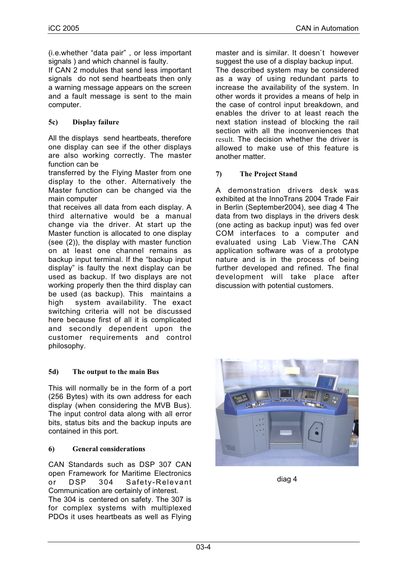(i.e.whether "data pair" , or less important signals ) and which channel is faulty.

If CAN 2 modules that send less important signals do not send heartbeats then only a warning message appears on the screen and a fault message is sent to the main computer.

## **5c) Display failure**

All the displays send heartbeats, therefore one display can see if the other displays are also working correctly. The master function can be

transferred by the Flying Master from one display to the other. Alternatively the Master function can be changed via the main computer

that receives all data from each display. A third alternative would be a manual change via the driver. At start up the Master function is allocated to one display (see (2)), the display with master function on at least one channel remains as backup input terminal. If the "backup input display" is faulty the next display can be used as backup. If two displays are not working properly then the third display can be used (as backup). This maintains a high system availability. The exact switching criteria will not be discussed here because first of all it is complicated and secondly dependent upon the customer requirements and control philosophy.

#### **5d) The output to the main Bus**

This will normally be in the form of a port (256 Bytes) with its own address for each display (when considering the MVB Bus). The input control data along with all error bits, status bits and the backup inputs are contained in this port.

#### **6) General considerations**

CAN Standards such as DSP 307 CAN open Framework for Maritime Electronics or DSP 304 Safety-Relevant Communication are certainly of interest. The 304 is centered on safety. The 307 is for complex systems with multiplexed PDOs it uses heartbeats as well as Flying

master and is similar. It doesn`t however suggest the use of a display backup input.

The described system may be considered as a way of using redundant parts to increase the availability of the system. In other words it provides a means of help in the case of control input breakdown, and enables the driver to at least reach the next station instead of blocking the rail section with all the inconveniences that result. The decision whether the driver is allowed to make use of this feature is another matter.

#### **7) The Project Stand**

A demonstration drivers desk was exhibited at the InnoTrans 2004 Trade Fair in Berlin (September2004), see diag 4 The data from two displays in the drivers desk (one acting as backup input) was fed over COM interfaces to a computer and evaluated using Lab View.The CAN application software was of a prototype nature and is in the process of being further developed and refined. The final development will take place after discussion with potential customers.



diag 4